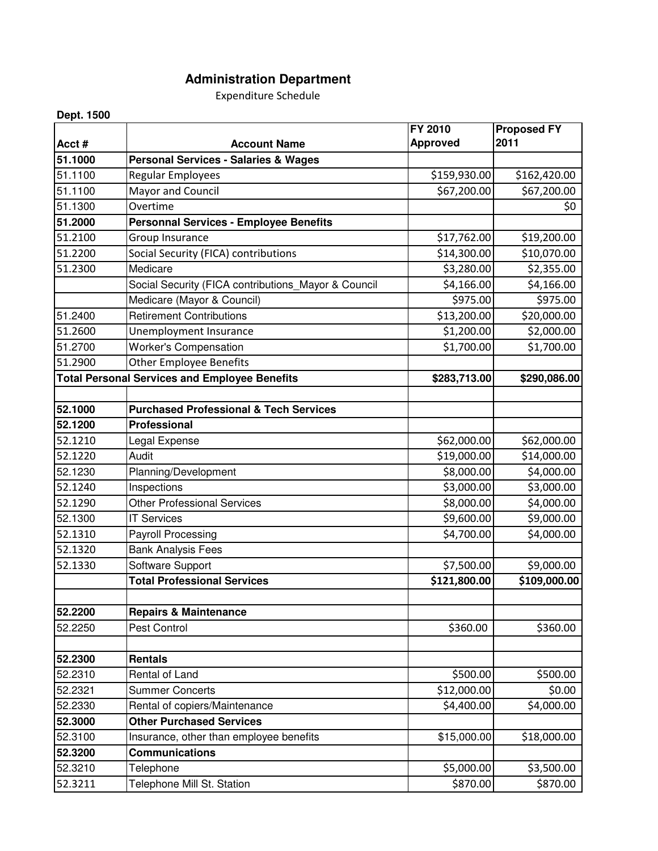## **Administration Department**

Expenditure Schedule

## **Dept. 1500**

|         |                                                      | FY 2010         | <b>Proposed FY</b> |
|---------|------------------------------------------------------|-----------------|--------------------|
| Acct#   | <b>Account Name</b>                                  | <b>Approved</b> | 2011               |
| 51.1000 | <b>Personal Services - Salaries &amp; Wages</b>      |                 |                    |
| 51.1100 | Regular Employees                                    | \$159,930.00    | \$162,420.00       |
| 51.1100 | Mayor and Council                                    | \$67,200.00     | \$67,200.00        |
| 51.1300 | Overtime                                             |                 | \$0                |
| 51.2000 | <b>Personnal Services - Employee Benefits</b>        |                 |                    |
| 51.2100 | Group Insurance                                      | \$17,762.00     | \$19,200.00        |
| 51.2200 | Social Security (FICA) contributions                 | \$14,300.00     | \$10,070.00        |
| 51.2300 | Medicare                                             | \$3,280.00      | \$2,355.00         |
|         | Social Security (FICA contributions_Mayor & Council  | \$4,166.00      | \$4,166.00         |
|         | Medicare (Mayor & Council)                           | \$975.00        | \$975.00           |
| 51.2400 | <b>Retirement Contributions</b>                      | \$13,200.00     | \$20,000.00        |
| 51.2600 | <b>Unemployment Insurance</b>                        | \$1,200.00      | \$2,000.00         |
| 51.2700 | <b>Worker's Compensation</b>                         | \$1,700.00      | \$1,700.00         |
| 51.2900 | <b>Other Employee Benefits</b>                       |                 |                    |
|         | <b>Total Personal Services and Employee Benefits</b> | \$283,713.00    | \$290,086.00       |
|         |                                                      |                 |                    |
| 52.1000 | <b>Purchased Professional &amp; Tech Services</b>    |                 |                    |
| 52.1200 | Professional                                         |                 |                    |
| 52.1210 | Legal Expense                                        | \$62,000.00     | \$62,000.00        |
| 52.1220 | Audit                                                | \$19,000.00     | \$14,000.00        |
| 52.1230 | Planning/Development                                 | \$8,000.00      | \$4,000.00         |
| 52.1240 | Inspections                                          | \$3,000.00      | \$3,000.00         |
| 52.1290 | <b>Other Professional Services</b>                   | \$8,000.00      | \$4,000.00         |
| 52.1300 | <b>IT Services</b>                                   | \$9,600.00      | \$9,000.00         |
| 52.1310 | <b>Payroll Processing</b>                            | \$4,700.00      | \$4,000.00         |
| 52.1320 | <b>Bank Analysis Fees</b>                            |                 |                    |
| 52.1330 | Software Support                                     | \$7,500.00      | \$9,000.00         |
|         | <b>Total Professional Services</b>                   | \$121,800.00    | \$109,000.00       |
|         |                                                      |                 |                    |
| 52.2200 | <b>Repairs &amp; Maintenance</b>                     |                 |                    |
| 52.2250 | Pest Control                                         | \$360.00        | \$360.00           |
|         |                                                      |                 |                    |
| 52.2300 | <b>Rentals</b>                                       |                 |                    |
| 52.2310 | Rental of Land                                       | \$500.00        | \$500.00           |
| 52.2321 | <b>Summer Concerts</b>                               | \$12,000.00     | \$0.00             |
| 52.2330 | Rental of copiers/Maintenance                        | \$4,400.00      | \$4,000.00         |
| 52.3000 | <b>Other Purchased Services</b>                      |                 |                    |
| 52.3100 | Insurance, other than employee benefits              | \$15,000.00     | \$18,000.00        |
| 52.3200 | <b>Communications</b>                                |                 |                    |
| 52.3210 | Telephone                                            | \$5,000.00      | \$3,500.00         |
| 52.3211 | Telephone Mill St. Station                           | \$870.00        | \$870.00           |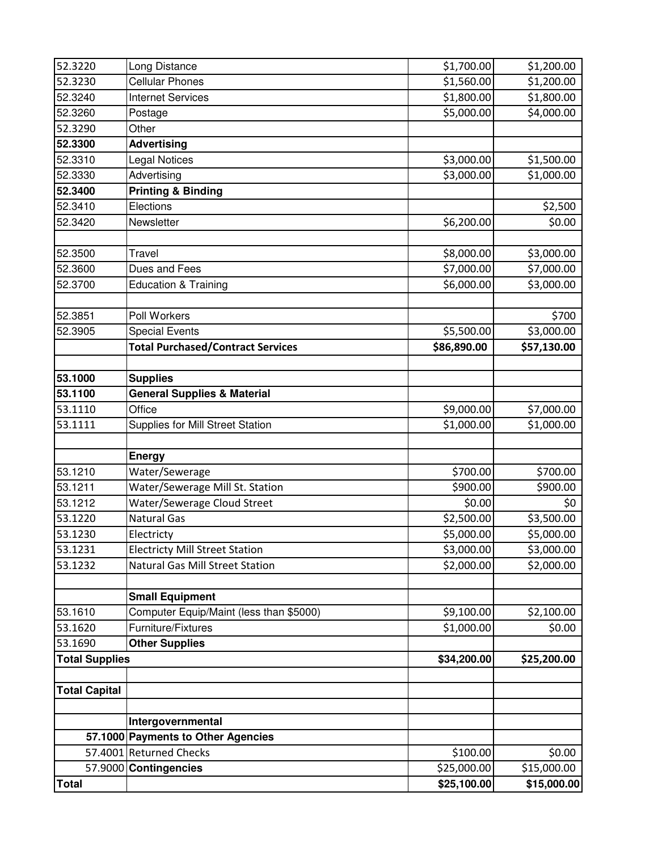| 52.3220               | Long Distance                            | \$1,700.00  | \$1,200.00  |
|-----------------------|------------------------------------------|-------------|-------------|
| 52.3230               | <b>Cellular Phones</b>                   | \$1,560.00  | \$1,200.00  |
| 52.3240               | <b>Internet Services</b>                 | \$1,800.00  | \$1,800.00  |
| 52.3260               | Postage                                  | \$5,000.00  | \$4,000.00  |
| 52.3290               | Other                                    |             |             |
| 52.3300               | <b>Advertising</b>                       |             |             |
| 52.3310               | <b>Legal Notices</b>                     | \$3,000.00  | \$1,500.00  |
| 52.3330               | Advertising                              | \$3,000.00  | \$1,000.00  |
| 52.3400               | <b>Printing &amp; Binding</b>            |             |             |
| 52.3410               | Elections                                |             | \$2,500     |
| 52.3420               | Newsletter                               | \$6,200.00  | \$0.00      |
|                       |                                          |             |             |
| 52.3500               | Travel                                   | \$8,000.00  | \$3,000.00  |
| 52.3600               | Dues and Fees                            | \$7,000.00  | \$7,000.00  |
| 52.3700               | <b>Education &amp; Training</b>          | \$6,000.00  | \$3,000.00  |
|                       |                                          |             |             |
| 52.3851               | Poll Workers                             |             | \$700       |
| 52.3905               | <b>Special Events</b>                    | \$5,500.00  | \$3,000.00  |
|                       | <b>Total Purchased/Contract Services</b> | \$86,890.00 | \$57,130.00 |
|                       |                                          |             |             |
| 53.1000               | <b>Supplies</b>                          |             |             |
| 53.1100               | <b>General Supplies &amp; Material</b>   |             |             |
| 53.1110               | Office                                   | \$9,000.00  | \$7,000.00  |
| 53.1111               | Supplies for Mill Street Station         | \$1,000.00  | \$1,000.00  |
|                       |                                          |             |             |
|                       | Energy                                   |             |             |
| 53.1210               | Water/Sewerage                           | \$700.00    | \$700.00    |
| 53.1211               | Water/Sewerage Mill St. Station          | \$900.00    | \$900.00    |
| 53.1212               | Water/Sewerage Cloud Street              | \$0.00      | \$0         |
| 53.1220               | <b>Natural Gas</b>                       | \$2,500.00  | \$3,500.00  |
| 53.1230               | Electricty                               | \$5,000.00  | \$5,000.00  |
| 53.1231               | <b>Electricty Mill Street Station</b>    | \$3,000.00  | \$3,000.00  |
| 53.1232               | <b>Natural Gas Mill Street Station</b>   | \$2,000.00  | \$2,000.00  |
|                       |                                          |             |             |
|                       | <b>Small Equipment</b>                   |             |             |
| 53.1610               | Computer Equip/Maint (less than \$5000)  | \$9,100.00  | \$2,100.00  |
| 53.1620               | Furniture/Fixtures                       | \$1,000.00  | \$0.00      |
| 53.1690               | <b>Other Supplies</b>                    |             |             |
| <b>Total Supplies</b> |                                          | \$34,200.00 | \$25,200.00 |
|                       |                                          |             |             |
| <b>Total Capital</b>  |                                          |             |             |
|                       |                                          |             |             |
|                       |                                          |             |             |
|                       | Intergovernmental                        |             |             |
|                       | 57.1000 Payments to Other Agencies       |             |             |
|                       | 57.4001 Returned Checks                  | \$100.00    | \$0.00      |
|                       | 57.9000 Contingencies                    | \$25,000.00 | \$15,000.00 |
| <b>Total</b>          |                                          | \$25,100.00 | \$15,000.00 |